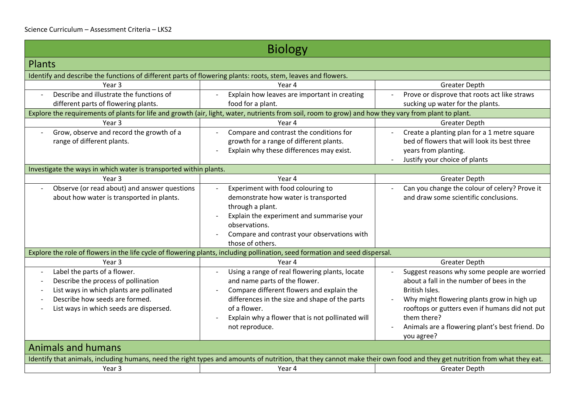| <b>Biology</b>                                                                                                                                                          |                                                                                                                                                      |                                                               |
|-------------------------------------------------------------------------------------------------------------------------------------------------------------------------|------------------------------------------------------------------------------------------------------------------------------------------------------|---------------------------------------------------------------|
| <b>Plants</b>                                                                                                                                                           |                                                                                                                                                      |                                                               |
| Identify and describe the functions of different parts of flowering plants: roots, stem, leaves and flowers.                                                            |                                                                                                                                                      |                                                               |
| Year 3                                                                                                                                                                  | Year 4                                                                                                                                               | <b>Greater Depth</b>                                          |
| Describe and illustrate the functions of                                                                                                                                | Explain how leaves are important in creating                                                                                                         | Prove or disprove that roots act like straws                  |
| different parts of flowering plants.                                                                                                                                    | food for a plant.                                                                                                                                    | sucking up water for the plants.                              |
|                                                                                                                                                                         | Explore the requirements of plants for life and growth (air, light, water, nutrients from soil, room to grow) and how they vary from plant to plant. |                                                               |
| Year 3                                                                                                                                                                  | Year 4                                                                                                                                               | <b>Greater Depth</b>                                          |
| Grow, observe and record the growth of a                                                                                                                                | Compare and contrast the conditions for                                                                                                              | Create a planting plan for a 1 metre square                   |
| range of different plants.                                                                                                                                              | growth for a range of different plants.                                                                                                              | bed of flowers that will look its best three                  |
|                                                                                                                                                                         | Explain why these differences may exist.                                                                                                             | years from planting.                                          |
|                                                                                                                                                                         |                                                                                                                                                      | Justify your choice of plants                                 |
| Investigate the ways in which water is transported within plants.                                                                                                       |                                                                                                                                                      |                                                               |
| Year <sub>3</sub>                                                                                                                                                       | Year 4                                                                                                                                               | <b>Greater Depth</b>                                          |
| Observe (or read about) and answer questions                                                                                                                            | Experiment with food colouring to                                                                                                                    | Can you change the colour of celery? Prove it                 |
| about how water is transported in plants.                                                                                                                               | demonstrate how water is transported                                                                                                                 | and draw some scientific conclusions.                         |
|                                                                                                                                                                         | through a plant.                                                                                                                                     |                                                               |
|                                                                                                                                                                         | Explain the experiment and summarise your                                                                                                            |                                                               |
|                                                                                                                                                                         | observations.                                                                                                                                        |                                                               |
|                                                                                                                                                                         | Compare and contrast your observations with                                                                                                          |                                                               |
|                                                                                                                                                                         | those of others.                                                                                                                                     |                                                               |
|                                                                                                                                                                         | Explore the role of flowers in the life cycle of flowering plants, including pollination, seed formation and seed dispersal.                         |                                                               |
| Year 3                                                                                                                                                                  | Year 4                                                                                                                                               | <b>Greater Depth</b>                                          |
| Label the parts of a flower.                                                                                                                                            | Using a range of real flowering plants, locate                                                                                                       | Suggest reasons why some people are worried                   |
| Describe the process of pollination                                                                                                                                     | and name parts of the flower.                                                                                                                        | about a fall in the number of bees in the                     |
| List ways in which plants are pollinated                                                                                                                                | Compare different flowers and explain the                                                                                                            | British Isles.                                                |
| Describe how seeds are formed.                                                                                                                                          | differences in the size and shape of the parts                                                                                                       | Why might flowering plants grow in high up                    |
| List ways in which seeds are dispersed.                                                                                                                                 | of a flower.                                                                                                                                         | rooftops or gutters even if humans did not put                |
|                                                                                                                                                                         | Explain why a flower that is not pollinated will                                                                                                     | them there?                                                   |
|                                                                                                                                                                         | not reproduce.                                                                                                                                       | Animals are a flowering plant's best friend. Do<br>you agree? |
| <b>Animals and humans</b>                                                                                                                                               |                                                                                                                                                      |                                                               |
| Identify that animals, including humans, need the right types and amounts of nutrition, that they cannot make their own food and they get nutrition from what they eat. |                                                                                                                                                      |                                                               |
| Year 3                                                                                                                                                                  | Year 4                                                                                                                                               | <b>Greater Depth</b>                                          |
|                                                                                                                                                                         |                                                                                                                                                      |                                                               |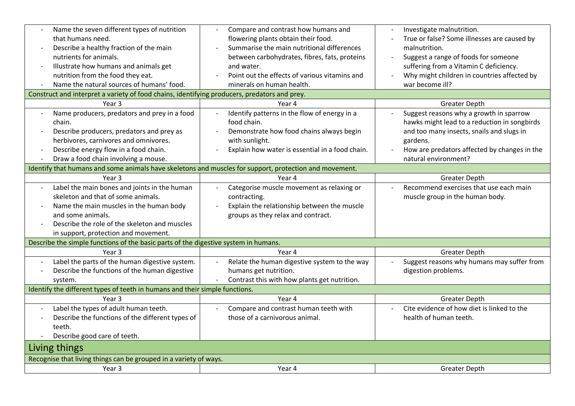| Name the seven different types of nutrition                                                            | Compare and contrast how humans and             | Investigate malnutrition.                    |
|--------------------------------------------------------------------------------------------------------|-------------------------------------------------|----------------------------------------------|
| that humans need.                                                                                      | flowering plants obtain their food.             | True or false? Some illnesses are caused by  |
| Describe a healthy fraction of the main<br>$\overline{\phantom{a}}$                                    | Summarise the main nutritional differences      | malnutrition.                                |
| nutrients for animals.                                                                                 | between carbohydrates, fibres, fats, proteins   | Suggest a range of foods for someone         |
| Illustrate how humans and animals get<br>$\overline{\phantom{a}}$                                      | and water.                                      | suffering from a Vitamin C deficiency.       |
| nutrition from the food they eat.                                                                      | Point out the effects of various vitamins and   | Why might children in countries affected by  |
| Name the natural sources of humans' food.<br>$\overline{\phantom{a}}$                                  | minerals on human health.                       | war become ill?                              |
| Construct and interpret a variety of food chains, identifying producers, predators and prey.           |                                                 |                                              |
| Year 3                                                                                                 | Year 4                                          | <b>Greater Depth</b>                         |
| Name producers, predators and prey in a food                                                           | Identify patterns in the flow of energy in a    | Suggest reasons why a growth in sparrow      |
| chain.                                                                                                 | food chain.                                     | hawks might lead to a reduction in songbirds |
| Describe producers, predators and prey as                                                              | Demonstrate how food chains always begin        | and too many insects, snails and slugs in    |
| herbivores, carnivores and omnivores.                                                                  | with sunlight.                                  | gardens.                                     |
| Describe energy flow in a food chain.<br>$\overline{\phantom{a}}$                                      | Explain how water is essential in a food chain. | How are predators affected by changes in the |
| Draw a food chain involving a mouse.                                                                   |                                                 | natural environment?                         |
| Identify that humans and some animals have skeletons and muscles for support, protection and movement. |                                                 |                                              |
| Year 3                                                                                                 | Year 4                                          | <b>Greater Depth</b>                         |
| Label the main bones and joints in the human                                                           | Categorise muscle movement as relaxing or       | Recommend exercises that use each main       |
| skeleton and that of some animals.                                                                     | contracting.                                    | muscle group in the human body.              |
| Name the main muscles in the human body                                                                | Explain the relationship between the muscle     |                                              |
| and some animals.                                                                                      | groups as they relax and contract.              |                                              |
| Describe the role of the skeleton and muscles                                                          |                                                 |                                              |
| in support, protection and movement.                                                                   |                                                 |                                              |
| Describe the simple functions of the basic parts of the digestive system in humans.                    |                                                 |                                              |
| Year 3                                                                                                 | Year 4                                          | <b>Greater Depth</b>                         |
| Label the parts of the human digestive system.                                                         | Relate the human digestive system to the way    | Suggest reasons why humans may suffer from   |
| Describe the functions of the human digestive                                                          | humans get nutrition.                           | digestion problems.                          |
| system.                                                                                                | Contrast this with how plants get nutrition.    |                                              |
| Identify the different types of teeth in humans and their simple functions.                            |                                                 |                                              |
| Year 3                                                                                                 | Year 4                                          | <b>Greater Depth</b>                         |
| Label the types of adult human teeth.                                                                  | Compare and contrast human teeth with           | Cite evidence of how diet is linked to the   |
| Describe the functions of the different types of                                                       | those of a carnivorous animal.                  | health of human teeth.                       |
| teeth.                                                                                                 |                                                 |                                              |
| Describe good care of teeth.                                                                           |                                                 |                                              |
| Living things                                                                                          |                                                 |                                              |
| Recognise that living things can be grouped in a variety of ways.                                      |                                                 |                                              |
| Year 3                                                                                                 | Year 4                                          | <b>Greater Depth</b>                         |
|                                                                                                        |                                                 |                                              |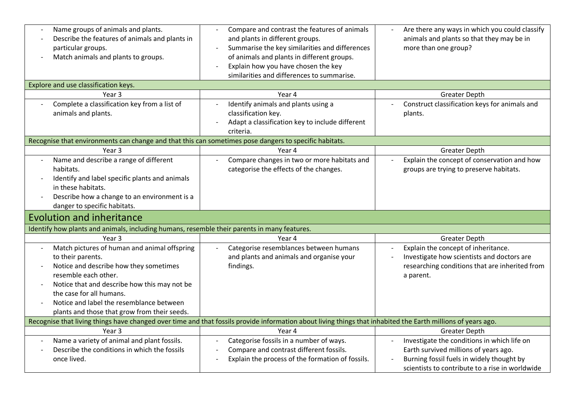| Name groups of animals and plants.<br>Describe the features of animals and plants in<br>particular groups.<br>Match animals and plants to groups.<br>Explore and use classification keys.                                                                                                                   | Compare and contrast the features of animals<br>and plants in different groups.<br>Summarise the key similarities and differences<br>of animals and plants in different groups.<br>Explain how you have chosen the key<br>similarities and differences to summarise. | Are there any ways in which you could classify<br>animals and plants so that they may be in<br>more than one group?                                                                  |
|-------------------------------------------------------------------------------------------------------------------------------------------------------------------------------------------------------------------------------------------------------------------------------------------------------------|----------------------------------------------------------------------------------------------------------------------------------------------------------------------------------------------------------------------------------------------------------------------|--------------------------------------------------------------------------------------------------------------------------------------------------------------------------------------|
| Year 3                                                                                                                                                                                                                                                                                                      | Year 4                                                                                                                                                                                                                                                               | <b>Greater Depth</b>                                                                                                                                                                 |
| Complete a classification key from a list of<br>animals and plants.                                                                                                                                                                                                                                         | Identify animals and plants using a<br>classification key.<br>Adapt a classification key to include different<br>criteria.                                                                                                                                           | Construct classification keys for animals and<br>plants.                                                                                                                             |
| Recognise that environments can change and that this can sometimes pose dangers to specific habitats.                                                                                                                                                                                                       |                                                                                                                                                                                                                                                                      |                                                                                                                                                                                      |
| Year <sub>3</sub>                                                                                                                                                                                                                                                                                           | Year 4                                                                                                                                                                                                                                                               | <b>Greater Depth</b>                                                                                                                                                                 |
| Name and describe a range of different<br>$\overline{a}$<br>habitats.<br>Identify and label specific plants and animals<br>in these habitats.<br>Describe how a change to an environment is a<br>danger to specific habitats.                                                                               | Compare changes in two or more habitats and<br>categorise the effects of the changes.                                                                                                                                                                                | Explain the concept of conservation and how<br>groups are trying to preserve habitats.                                                                                               |
| <b>Evolution and inheritance</b>                                                                                                                                                                                                                                                                            |                                                                                                                                                                                                                                                                      |                                                                                                                                                                                      |
|                                                                                                                                                                                                                                                                                                             |                                                                                                                                                                                                                                                                      |                                                                                                                                                                                      |
| Identify how plants and animals, including humans, resemble their parents in many features.                                                                                                                                                                                                                 |                                                                                                                                                                                                                                                                      |                                                                                                                                                                                      |
| Year <sub>3</sub>                                                                                                                                                                                                                                                                                           | Year 4                                                                                                                                                                                                                                                               | <b>Greater Depth</b>                                                                                                                                                                 |
| Match pictures of human and animal offspring<br>to their parents.<br>Notice and describe how they sometimes<br>resemble each other.<br>Notice that and describe how this may not be<br>the case for all humans.<br>Notice and label the resemblance between<br>plants and those that grow from their seeds. | Categorise resemblances between humans<br>and plants and animals and organise your<br>findings.                                                                                                                                                                      | Explain the concept of inheritance.<br>Investigate how scientists and doctors are<br>researching conditions that are inherited from<br>a parent.                                     |
|                                                                                                                                                                                                                                                                                                             | Recognise that living things have changed over time and that fossils provide information about living things that inhabited the Earth millions of years ago.                                                                                                         |                                                                                                                                                                                      |
| Year 3                                                                                                                                                                                                                                                                                                      | Year 4                                                                                                                                                                                                                                                               | <b>Greater Depth</b>                                                                                                                                                                 |
| Name a variety of animal and plant fossils.<br>Describe the conditions in which the fossils<br>once lived.                                                                                                                                                                                                  | Categorise fossils in a number of ways.<br>Compare and contrast different fossils.<br>Explain the process of the formation of fossils.                                                                                                                               | Investigate the conditions in which life on<br>Earth survived millions of years ago.<br>Burning fossil fuels in widely thought by<br>scientists to contribute to a rise in worldwide |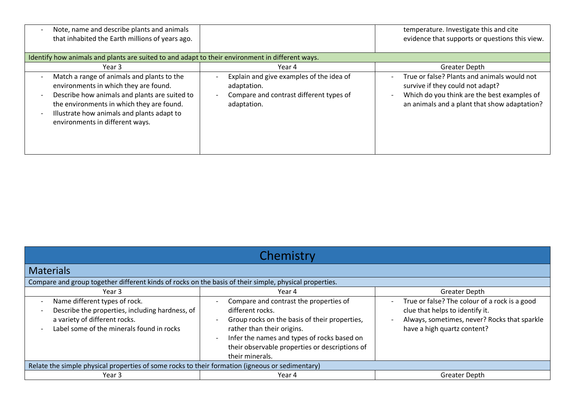| Note, name and describe plants and animals<br>$\overline{\phantom{a}}$<br>that inhabited the Earth millions of years ago.                                                                                                                                                                                                                              |                                                                                                                                     | temperature. Investigate this and cite<br>evidence that supports or questions this view.                                                                                                                             |
|--------------------------------------------------------------------------------------------------------------------------------------------------------------------------------------------------------------------------------------------------------------------------------------------------------------------------------------------------------|-------------------------------------------------------------------------------------------------------------------------------------|----------------------------------------------------------------------------------------------------------------------------------------------------------------------------------------------------------------------|
| Identify how animals and plants are suited to and adapt to their environment in different ways.                                                                                                                                                                                                                                                        |                                                                                                                                     |                                                                                                                                                                                                                      |
| Year 3                                                                                                                                                                                                                                                                                                                                                 | Year 4                                                                                                                              | <b>Greater Depth</b>                                                                                                                                                                                                 |
| Match a range of animals and plants to the<br>$\overline{\phantom{a}}$<br>environments in which they are found.<br>Describe how animals and plants are suited to<br>$\overline{\phantom{a}}$<br>the environments in which they are found.<br>Illustrate how animals and plants adapt to<br>$\overline{\phantom{a}}$<br>environments in different ways. | Explain and give examples of the idea of<br>$\overline{a}$<br>adaptation.<br>Compare and contrast different types of<br>adaptation. | True or false? Plants and animals would not<br>$\sim$<br>survive if they could not adapt?<br>Which do you think are the best examples of<br>$\overline{\phantom{a}}$<br>an animals and a plant that show adaptation? |

| Chemistry                                                                                                                                                                                                                                              |                                                                                                                                                                                                                                                               |                                                                                                                                                                                             |
|--------------------------------------------------------------------------------------------------------------------------------------------------------------------------------------------------------------------------------------------------------|---------------------------------------------------------------------------------------------------------------------------------------------------------------------------------------------------------------------------------------------------------------|---------------------------------------------------------------------------------------------------------------------------------------------------------------------------------------------|
| <b>Materials</b>                                                                                                                                                                                                                                       |                                                                                                                                                                                                                                                               |                                                                                                                                                                                             |
| Compare and group together different kinds of rocks on the basis of their simple, physical properties.                                                                                                                                                 |                                                                                                                                                                                                                                                               |                                                                                                                                                                                             |
| Year 3                                                                                                                                                                                                                                                 | Year 4                                                                                                                                                                                                                                                        | <b>Greater Depth</b>                                                                                                                                                                        |
| Name different types of rock.<br>$\overline{\phantom{0}}$<br>Describe the properties, including hardness, of<br>$\overline{\phantom{a}}$<br>a variety of different rocks.<br>Label some of the minerals found in rocks<br>$\qquad \qquad \blacksquare$ | Compare and contrast the properties of<br>different rocks.<br>Group rocks on the basis of their properties,<br>rather than their origins.<br>Infer the names and types of rocks based on<br>their observable properties or descriptions of<br>their minerals. | True or false? The colour of a rock is a good<br>$\overline{\phantom{0}}$<br>clue that helps to identify it.<br>Always, sometimes, never? Rocks that sparkle<br>have a high quartz content? |
| Relate the simple physical properties of some rocks to their formation (igneous or sedimentary)                                                                                                                                                        |                                                                                                                                                                                                                                                               |                                                                                                                                                                                             |
| Year 3                                                                                                                                                                                                                                                 | Year 4                                                                                                                                                                                                                                                        | <b>Greater Depth</b>                                                                                                                                                                        |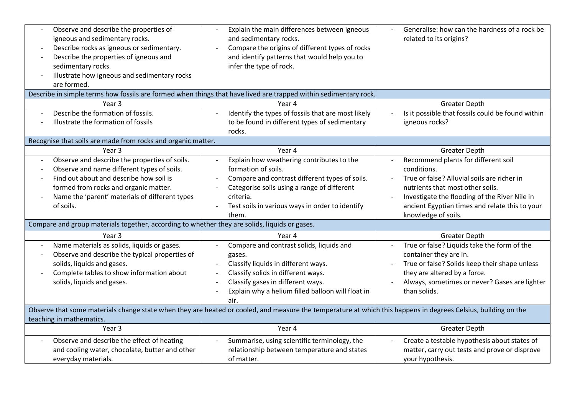| Observe and describe the properties of<br>igneous and sedimentary rocks.<br>Describe rocks as igneous or sedimentary.<br>$\overline{\phantom{0}}$<br>Describe the properties of igneous and<br>$\overline{\phantom{a}}$<br>sedimentary rocks.<br>Illustrate how igneous and sedimentary rocks<br>$\qquad \qquad \blacksquare$<br>are formed. | Explain the main differences between igneous<br>and sedimentary rocks.<br>Compare the origins of different types of rocks<br>and identify patterns that would help you to<br>infer the type of rock.                                       | Generalise: how can the hardness of a rock be<br>related to its origins?                                                                                                                                                                                        |
|----------------------------------------------------------------------------------------------------------------------------------------------------------------------------------------------------------------------------------------------------------------------------------------------------------------------------------------------|--------------------------------------------------------------------------------------------------------------------------------------------------------------------------------------------------------------------------------------------|-----------------------------------------------------------------------------------------------------------------------------------------------------------------------------------------------------------------------------------------------------------------|
|                                                                                                                                                                                                                                                                                                                                              | Describe in simple terms how fossils are formed when things that have lived are trapped within sedimentary rock.                                                                                                                           |                                                                                                                                                                                                                                                                 |
| Year <sub>3</sub>                                                                                                                                                                                                                                                                                                                            | Year 4                                                                                                                                                                                                                                     | <b>Greater Depth</b>                                                                                                                                                                                                                                            |
| Describe the formation of fossils.<br>Illustrate the formation of fossils                                                                                                                                                                                                                                                                    | Identify the types of fossils that are most likely<br>to be found in different types of sedimentary<br>rocks.                                                                                                                              | Is it possible that fossils could be found within<br>igneous rocks?                                                                                                                                                                                             |
| Recognise that soils are made from rocks and organic matter.                                                                                                                                                                                                                                                                                 |                                                                                                                                                                                                                                            |                                                                                                                                                                                                                                                                 |
| Year <sub>3</sub>                                                                                                                                                                                                                                                                                                                            | Year 4                                                                                                                                                                                                                                     | <b>Greater Depth</b>                                                                                                                                                                                                                                            |
| Observe and describe the properties of soils.<br>$\overline{\phantom{a}}$<br>Observe and name different types of soils.<br>Find out about and describe how soil is<br>formed from rocks and organic matter.<br>Name the 'parent' materials of different types<br>of soils.                                                                   | Explain how weathering contributes to the<br>formation of soils.<br>Compare and contrast different types of soils.<br>Categorise soils using a range of different<br>criteria.<br>Test soils in various ways in order to identify<br>them. | Recommend plants for different soil<br>conditions.<br>True or false? Alluvial soils are richer in<br>nutrients that most other soils.<br>Investigate the flooding of the River Nile in<br>ancient Egyptian times and relate this to your<br>knowledge of soils. |
| Compare and group materials together, according to whether they are solids, liquids or gases.                                                                                                                                                                                                                                                |                                                                                                                                                                                                                                            |                                                                                                                                                                                                                                                                 |
| Year <sub>3</sub>                                                                                                                                                                                                                                                                                                                            | Year 4                                                                                                                                                                                                                                     | <b>Greater Depth</b>                                                                                                                                                                                                                                            |
| Name materials as solids, liquids or gases.<br>$\overline{\phantom{a}}$<br>Observe and describe the typical properties of<br>$\overline{\phantom{a}}$<br>solids, liquids and gases.<br>Complete tables to show information about<br>solids, liquids and gases.                                                                               | Compare and contrast solids, liquids and<br>gases.<br>Classify liquids in different ways.<br>Classify solids in different ways.<br>Classify gases in different ways.<br>Explain why a helium filled balloon will float in<br>air.          | True or false? Liquids take the form of the<br>container they are in.<br>True or false? Solids keep their shape unless<br>they are altered by a force.<br>Always, sometimes or never? Gases are lighter<br>than solids.                                         |
| teaching in mathematics.                                                                                                                                                                                                                                                                                                                     | Observe that some materials change state when they are heated or cooled, and measure the temperature at which this happens in degrees Celsius, building on the                                                                             |                                                                                                                                                                                                                                                                 |
| Year 3                                                                                                                                                                                                                                                                                                                                       | Year 4                                                                                                                                                                                                                                     | <b>Greater Depth</b>                                                                                                                                                                                                                                            |
| Observe and describe the effect of heating<br>$\overline{\phantom{a}}$<br>and cooling water, chocolate, butter and other<br>everyday materials.                                                                                                                                                                                              | Summarise, using scientific terminology, the<br>relationship between temperature and states<br>of matter.                                                                                                                                  | Create a testable hypothesis about states of<br>matter, carry out tests and prove or disprove<br>your hypothesis.                                                                                                                                               |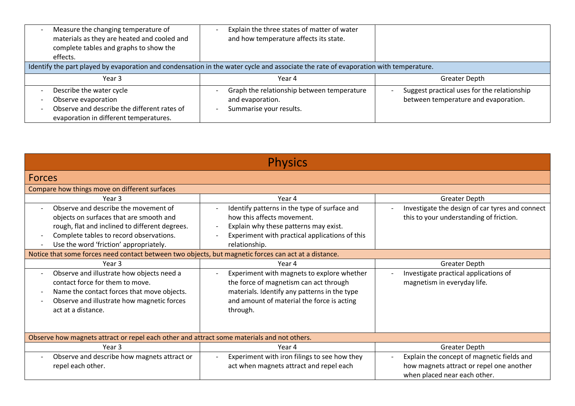| Measure the changing temperature of<br>materials as they are heated and cooled and<br>complete tables and graphs to show the<br>effects. | Explain the three states of matter of water<br>and how temperature affects its state.                                               |                                                                                     |
|------------------------------------------------------------------------------------------------------------------------------------------|-------------------------------------------------------------------------------------------------------------------------------------|-------------------------------------------------------------------------------------|
|                                                                                                                                          | Identify the part played by evaporation and condensation in the water cycle and associate the rate of evaporation with temperature. |                                                                                     |
| Year 3                                                                                                                                   | Year 4                                                                                                                              | Greater Depth                                                                       |
| Describe the water cycle<br>Observe evaporation<br>Observe and describe the different rates of<br>evaporation in different temperatures. | Graph the relationship between temperature<br>and evaporation.<br>Summarise your results.                                           | Suggest practical uses for the relationship<br>between temperature and evaporation. |

| <b>Physics</b>                                                                                                                                                                                                         |                                                                                                                                                                                                                    |                                                                                                                        |
|------------------------------------------------------------------------------------------------------------------------------------------------------------------------------------------------------------------------|--------------------------------------------------------------------------------------------------------------------------------------------------------------------------------------------------------------------|------------------------------------------------------------------------------------------------------------------------|
| <b>Forces</b>                                                                                                                                                                                                          |                                                                                                                                                                                                                    |                                                                                                                        |
| Compare how things move on different surfaces                                                                                                                                                                          |                                                                                                                                                                                                                    |                                                                                                                        |
| Year 3                                                                                                                                                                                                                 | Year 4                                                                                                                                                                                                             | Greater Depth                                                                                                          |
| Observe and describe the movement of<br>objects on surfaces that are smooth and<br>rough, flat and inclined to different degrees.<br>Complete tables to record observations.<br>Use the word 'friction' appropriately. | Identify patterns in the type of surface and<br>how this affects movement.<br>Explain why these patterns may exist.<br>$\overline{\phantom{a}}$<br>Experiment with practical applications of this<br>relationship. | Investigate the design of car tyres and connect<br>this to your understanding of friction.                             |
| Notice that some forces need contact between two objects, but magnetic forces can act at a distance.                                                                                                                   |                                                                                                                                                                                                                    |                                                                                                                        |
| Year <sub>3</sub>                                                                                                                                                                                                      | Year 4                                                                                                                                                                                                             | <b>Greater Depth</b>                                                                                                   |
| Observe and illustrate how objects need a<br>contact force for them to move.<br>Name the contact forces that move objects.<br>Observe and illustrate how magnetic forces<br>act at a distance.                         | Experiment with magnets to explore whether<br>the force of magnetism can act through<br>materials. Identify any patterns in the type<br>and amount of material the force is acting<br>through.                     | Investigate practical applications of<br>magnetism in everyday life.                                                   |
| Observe how magnets attract or repel each other and attract some materials and not others.                                                                                                                             |                                                                                                                                                                                                                    |                                                                                                                        |
| Year <sub>3</sub>                                                                                                                                                                                                      | Year 4                                                                                                                                                                                                             | Greater Depth                                                                                                          |
| Observe and describe how magnets attract or<br>repel each other.                                                                                                                                                       | Experiment with iron filings to see how they<br>act when magnets attract and repel each                                                                                                                            | Explain the concept of magnetic fields and<br>how magnets attract or repel one another<br>when placed near each other. |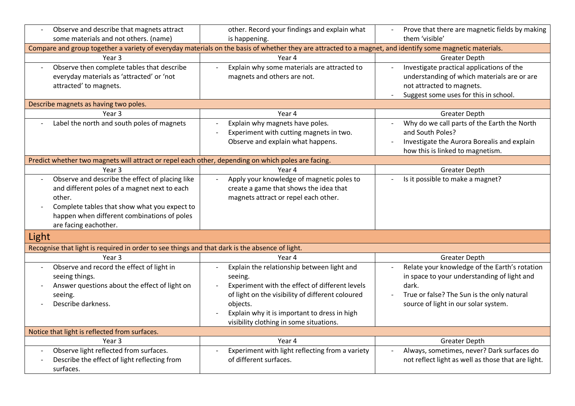| Observe and describe that magnets attract                                                                                                                                                                                         | other. Record your findings and explain what                                                                                                                                                                                                                       | Prove that there are magnetic fields by making                                                                                                                                              |
|-----------------------------------------------------------------------------------------------------------------------------------------------------------------------------------------------------------------------------------|--------------------------------------------------------------------------------------------------------------------------------------------------------------------------------------------------------------------------------------------------------------------|---------------------------------------------------------------------------------------------------------------------------------------------------------------------------------------------|
| some materials and not others. (name)                                                                                                                                                                                             | is happening.                                                                                                                                                                                                                                                      | them 'visible'                                                                                                                                                                              |
|                                                                                                                                                                                                                                   | Compare and group together a variety of everyday materials on the basis of whether they are attracted to a magnet, and identify some magnetic materials.                                                                                                           |                                                                                                                                                                                             |
| Year 3                                                                                                                                                                                                                            | Year 4                                                                                                                                                                                                                                                             | <b>Greater Depth</b>                                                                                                                                                                        |
| Observe then complete tables that describe<br>$\overline{\phantom{a}}$<br>everyday materials as 'attracted' or 'not<br>attracted' to magnets.                                                                                     | Explain why some materials are attracted to<br>magnets and others are not.                                                                                                                                                                                         | Investigate practical applications of the<br>understanding of which materials are or are<br>not attracted to magnets.<br>Suggest some uses for this in school.                              |
| Describe magnets as having two poles.                                                                                                                                                                                             |                                                                                                                                                                                                                                                                    |                                                                                                                                                                                             |
| Year 3                                                                                                                                                                                                                            | Year 4                                                                                                                                                                                                                                                             | <b>Greater Depth</b>                                                                                                                                                                        |
| Label the north and south poles of magnets                                                                                                                                                                                        | Explain why magnets have poles.<br>Experiment with cutting magnets in two.<br>Observe and explain what happens.                                                                                                                                                    | Why do we call parts of the Earth the North<br>and South Poles?<br>Investigate the Aurora Borealis and explain<br>how this is linked to magnetism.                                          |
| Predict whether two magnets will attract or repel each other, depending on which poles are facing.                                                                                                                                |                                                                                                                                                                                                                                                                    |                                                                                                                                                                                             |
| Year 3                                                                                                                                                                                                                            | Year 4                                                                                                                                                                                                                                                             | <b>Greater Depth</b>                                                                                                                                                                        |
| Observe and describe the effect of placing like<br>and different poles of a magnet next to each<br>other.<br>Complete tables that show what you expect to<br>happen when different combinations of poles<br>are facing eachother. | Apply your knowledge of magnetic poles to<br>create a game that shows the idea that<br>magnets attract or repel each other.                                                                                                                                        | Is it possible to make a magnet?                                                                                                                                                            |
| Light                                                                                                                                                                                                                             |                                                                                                                                                                                                                                                                    |                                                                                                                                                                                             |
| Recognise that light is required in order to see things and that dark is the absence of light.                                                                                                                                    |                                                                                                                                                                                                                                                                    |                                                                                                                                                                                             |
| Year 3                                                                                                                                                                                                                            | Year 4                                                                                                                                                                                                                                                             | <b>Greater Depth</b>                                                                                                                                                                        |
| Observe and record the effect of light in<br>seeing things.<br>Answer questions about the effect of light on<br>seeing.<br>Describe darkness.                                                                                     | Explain the relationship between light and<br>seeing.<br>Experiment with the effect of different levels<br>of light on the visibility of different coloured<br>objects.<br>Explain why it is important to dress in high<br>visibility clothing in some situations. | Relate your knowledge of the Earth's rotation<br>in space to your understanding of light and<br>dark.<br>True or false? The Sun is the only natural<br>source of light in our solar system. |
| Notice that light is reflected from surfaces.                                                                                                                                                                                     |                                                                                                                                                                                                                                                                    |                                                                                                                                                                                             |
| Year 3                                                                                                                                                                                                                            | Year 4                                                                                                                                                                                                                                                             | <b>Greater Depth</b>                                                                                                                                                                        |
| Observe light reflected from surfaces.<br>Describe the effect of light reflecting from<br>surfaces.                                                                                                                               | Experiment with light reflecting from a variety<br>of different surfaces.                                                                                                                                                                                          | Always, sometimes, never? Dark surfaces do<br>not reflect light as well as those that are light.                                                                                            |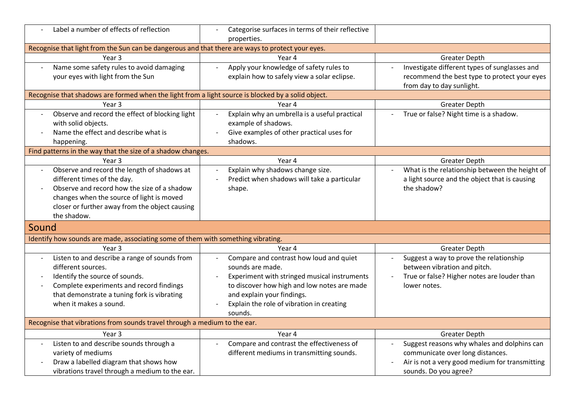| Label a number of effects of reflection                                                            | Categorise surfaces in terms of their reflective |                                                                     |
|----------------------------------------------------------------------------------------------------|--------------------------------------------------|---------------------------------------------------------------------|
|                                                                                                    | properties.                                      |                                                                     |
| Recognise that light from the Sun can be dangerous and that there are ways to protect your eyes.   |                                                  |                                                                     |
| Year <sub>3</sub>                                                                                  | Year 4                                           | <b>Greater Depth</b>                                                |
| Name some safety rules to avoid damaging                                                           | Apply your knowledge of safety rules to          | Investigate different types of sunglasses and                       |
| your eyes with light from the Sun                                                                  | explain how to safely view a solar eclipse.      | recommend the best type to protect your eyes                        |
|                                                                                                    |                                                  | from day to day sunlight.                                           |
| Recognise that shadows are formed when the light from a light source is blocked by a solid object. |                                                  |                                                                     |
| Year 3                                                                                             | Year 4                                           | <b>Greater Depth</b>                                                |
| Observe and record the effect of blocking light                                                    | Explain why an umbrella is a useful practical    | True or false? Night time is a shadow.                              |
| with solid objects.                                                                                | example of shadows.                              |                                                                     |
| Name the effect and describe what is                                                               | Give examples of other practical uses for        |                                                                     |
| happening.                                                                                         | shadows.                                         |                                                                     |
| Find patterns in the way that the size of a shadow changes.                                        |                                                  |                                                                     |
| Year 3                                                                                             | Year 4                                           | <b>Greater Depth</b>                                                |
| Observe and record the length of shadows at                                                        | Explain why shadows change size.                 | What is the relationship between the height of                      |
| different times of the day.                                                                        | Predict when shadows will take a particular      | a light source and the object that is causing                       |
| Observe and record how the size of a shadow                                                        | shape.                                           | the shadow?                                                         |
| changes when the source of light is moved                                                          |                                                  |                                                                     |
| closer or further away from the object causing                                                     |                                                  |                                                                     |
| the shadow.                                                                                        |                                                  |                                                                     |
| Sound                                                                                              |                                                  |                                                                     |
| Identify how sounds are made, associating some of them with something vibrating.                   |                                                  |                                                                     |
| Year <sub>3</sub>                                                                                  | Year 4                                           | <b>Greater Depth</b>                                                |
| Listen to and describe a range of sounds from<br>$\overline{\phantom{a}}$                          | Compare and contrast how loud and quiet          | Suggest a way to prove the relationship<br>$\overline{\phantom{a}}$ |
| different sources.                                                                                 | sounds are made.                                 | between vibration and pitch.                                        |
| Identify the source of sounds.                                                                     | Experiment with stringed musical instruments     | True or false? Higher notes are louder than<br>$\sim$               |
| Complete experiments and record findings<br>$\overline{\phantom{a}}$                               | to discover how high and low notes are made      | lower notes.                                                        |
| that demonstrate a tuning fork is vibrating                                                        | and explain your findings.                       |                                                                     |
| when it makes a sound.                                                                             | Explain the role of vibration in creating        |                                                                     |
|                                                                                                    | sounds.                                          |                                                                     |
| Recognise that vibrations from sounds travel through a medium to the ear.                          |                                                  |                                                                     |
| Year <sub>3</sub>                                                                                  | Year 4                                           | <b>Greater Depth</b>                                                |
| Listen to and describe sounds through a                                                            | Compare and contrast the effectiveness of        | Suggest reasons why whales and dolphins can                         |
| variety of mediums                                                                                 | different mediums in transmitting sounds.        | communicate over long distances.                                    |
| Draw a labelled diagram that shows how                                                             |                                                  | Air is not a very good medium for transmitting                      |
| vibrations travel through a medium to the ear.                                                     |                                                  | sounds. Do you agree?                                               |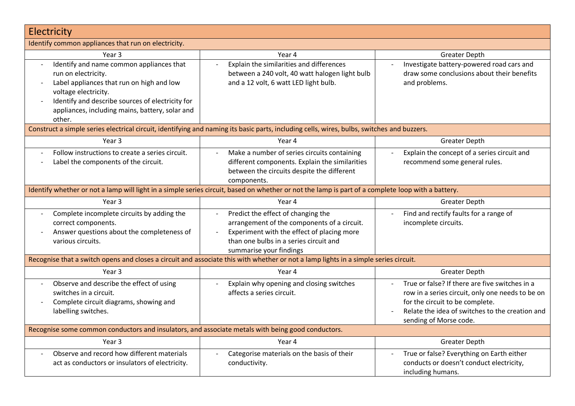| Electricity                                                                                                                                                                                                                                           |                                                                                                                                                                                                      |                                                                                                                                                                                                                    |
|-------------------------------------------------------------------------------------------------------------------------------------------------------------------------------------------------------------------------------------------------------|------------------------------------------------------------------------------------------------------------------------------------------------------------------------------------------------------|--------------------------------------------------------------------------------------------------------------------------------------------------------------------------------------------------------------------|
| Identify common appliances that run on electricity.                                                                                                                                                                                                   |                                                                                                                                                                                                      |                                                                                                                                                                                                                    |
| Year <sub>3</sub>                                                                                                                                                                                                                                     | Year 4                                                                                                                                                                                               | <b>Greater Depth</b>                                                                                                                                                                                               |
| Identify and name common appliances that<br>run on electricity.<br>Label appliances that run on high and low<br>voltage electricity.<br>Identify and describe sources of electricity for<br>appliances, including mains, battery, solar and<br>other. | Explain the similarities and differences<br>between a 240 volt, 40 watt halogen light bulb<br>and a 12 volt, 6 watt LED light bulb.                                                                  | Investigate battery-powered road cars and<br>draw some conclusions about their benefits<br>and problems.                                                                                                           |
|                                                                                                                                                                                                                                                       | Construct a simple series electrical circuit, identifying and naming its basic parts, including cells, wires, bulbs, switches and buzzers.                                                           |                                                                                                                                                                                                                    |
| Year 3                                                                                                                                                                                                                                                | Year 4                                                                                                                                                                                               | <b>Greater Depth</b>                                                                                                                                                                                               |
| Follow instructions to create a series circuit.<br>Label the components of the circuit.                                                                                                                                                               | Make a number of series circuits containing<br>$\overline{\phantom{a}}$<br>different components. Explain the similarities<br>between the circuits despite the different<br>components.               | Explain the concept of a series circuit and<br>$\overline{\phantom{a}}$<br>recommend some general rules.                                                                                                           |
|                                                                                                                                                                                                                                                       | Identify whether or not a lamp will light in a simple series circuit, based on whether or not the lamp is part of a complete loop with a battery.                                                    |                                                                                                                                                                                                                    |
| Year 3                                                                                                                                                                                                                                                | Year 4                                                                                                                                                                                               | <b>Greater Depth</b>                                                                                                                                                                                               |
| Complete incomplete circuits by adding the<br>correct components.<br>Answer questions about the completeness of<br>$\overline{\phantom{a}}$<br>various circuits.                                                                                      | Predict the effect of changing the<br>arrangement of the components of a circuit.<br>Experiment with the effect of placing more<br>than one bulbs in a series circuit and<br>summarise your findings | Find and rectify faults for a range of<br>incomplete circuits.                                                                                                                                                     |
|                                                                                                                                                                                                                                                       | Recognise that a switch opens and closes a circuit and associate this with whether or not a lamp lights in a simple series circuit.                                                                  |                                                                                                                                                                                                                    |
| Year 3                                                                                                                                                                                                                                                | Year 4                                                                                                                                                                                               | <b>Greater Depth</b>                                                                                                                                                                                               |
| Observe and describe the effect of using<br>switches in a circuit.<br>Complete circuit diagrams, showing and<br>labelling switches.                                                                                                                   | Explain why opening and closing switches<br>affects a series circuit.                                                                                                                                | True or false? If there are five switches in a<br>row in a series circuit, only one needs to be on<br>for the circuit to be complete.<br>Relate the idea of switches to the creation and<br>sending of Morse code. |
| Recognise some common conductors and insulators, and associate metals with being good conductors.                                                                                                                                                     |                                                                                                                                                                                                      |                                                                                                                                                                                                                    |
| Year <sub>3</sub>                                                                                                                                                                                                                                     | Year 4                                                                                                                                                                                               | <b>Greater Depth</b>                                                                                                                                                                                               |
| Observe and record how different materials<br>act as conductors or insulators of electricity.                                                                                                                                                         | Categorise materials on the basis of their<br>conductivity.                                                                                                                                          | True or false? Everything on Earth either<br>conducts or doesn't conduct electricity,<br>including humans.                                                                                                         |